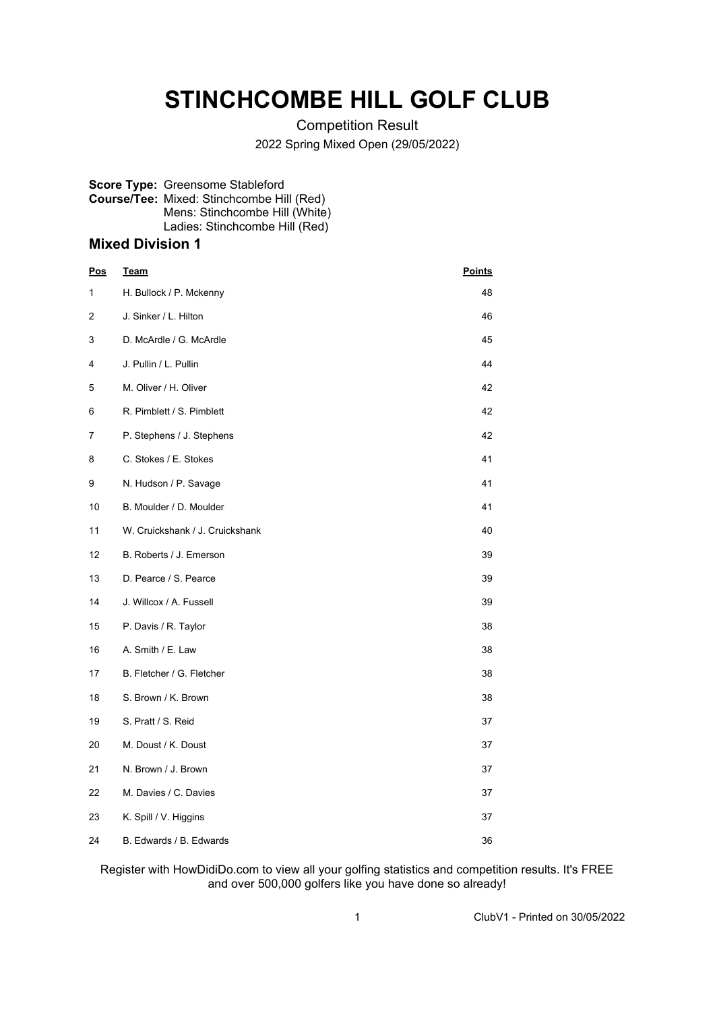# **STINCHCOMBE HILL GOLF CLUB**

Competition Result

2022 Spring Mixed Open (29/05/2022)

#### **Score Type:** Greensome Stableford **Course/Tee:** Mixed: Stinchcombe Hill (Red) Mens: Stinchcombe Hill (White) Ladies: Stinchcombe Hill (Red)

### **Mixed Division 1**

| <u>Pos</u> | <u>Team</u>                     | <b>Points</b> |
|------------|---------------------------------|---------------|
| 1          | H. Bullock / P. Mckenny         | 48            |
| 2          | J. Sinker / L. Hilton           | 46            |
| 3          | D. McArdle / G. McArdle         | 45            |
| 4          | J. Pullin / L. Pullin           | 44            |
| 5          | M. Oliver / H. Oliver           | 42            |
| 6          | R. Pimblett / S. Pimblett       | 42            |
| 7          | P. Stephens / J. Stephens       | 42            |
| 8          | C. Stokes / E. Stokes           | 41            |
| 9          | N. Hudson / P. Savage           | 41            |
| 10         | B. Moulder / D. Moulder         | 41            |
| 11         | W. Cruickshank / J. Cruickshank | 40            |
| 12         | B. Roberts / J. Emerson         | 39            |
| 13         | D. Pearce / S. Pearce           | 39            |
| 14         | J. Willcox / A. Fussell         | 39            |
| 15         | P. Davis / R. Taylor            | 38            |
| 16         | A. Smith / E. Law               | 38            |
| 17         | B. Fletcher / G. Fletcher       | 38            |
| 18         | S. Brown / K. Brown             | 38            |
| 19         | S. Pratt / S. Reid              | 37            |
| 20         | M. Doust / K. Doust             | 37            |
| 21         | N. Brown / J. Brown             | 37            |
| 22         | M. Davies / C. Davies           | 37            |
| 23         | K. Spill / V. Higgins           | 37            |
| 24         | B. Edwards / B. Edwards         | 36            |

Register with HowDidiDo.com to view all your golfing statistics and competition results. It's FREE and over 500,000 golfers like you have done so already!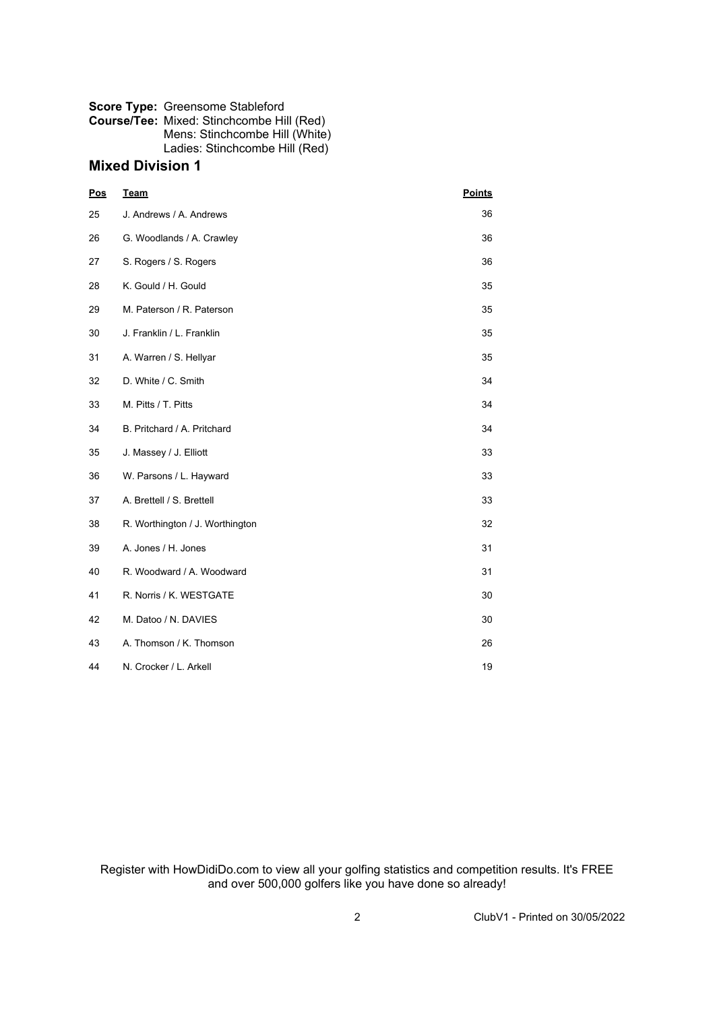#### **Score Type:** Greensome Stableford **Course/Tee:** Mixed: Stinchcombe Hill (Red)

Mens: Stinchcombe Hill (White) Ladies: Stinchcombe Hill (Red)

## **Mixed Division 1**

| Pos | <b>Team</b>                     | <b>Points</b> |
|-----|---------------------------------|---------------|
| 25  | J. Andrews / A. Andrews         | 36            |
| 26  | G. Woodlands / A. Crawley       | 36            |
| 27  | S. Rogers / S. Rogers           | 36            |
| 28  | K. Gould / H. Gould             | 35            |
| 29  | M. Paterson / R. Paterson       | 35            |
| 30  | J. Franklin / L. Franklin       | 35            |
| 31  | A. Warren / S. Hellyar          | 35            |
| 32  | D. White / C. Smith             | 34            |
| 33  | M. Pitts / T. Pitts             | 34            |
| 34  | B. Pritchard / A. Pritchard     | 34            |
| 35  | J. Massey / J. Elliott          | 33            |
| 36  | W. Parsons / L. Hayward         | 33            |
| 37  | A. Brettell / S. Brettell       | 33            |
| 38  | R. Worthington / J. Worthington | 32            |
| 39  | A. Jones / H. Jones             | 31            |
| 40  | R. Woodward / A. Woodward       | 31            |
| 41  | R. Norris / K. WESTGATE         | 30            |
| 42  | M. Datoo / N. DAVIES            | 30            |
| 43  | A. Thomson / K. Thomson         | 26            |
| 44  | N. Crocker / L. Arkell          | 19            |

Register with HowDidiDo.com to view all your golfing statistics and competition results. It's FREE and over 500,000 golfers like you have done so already!